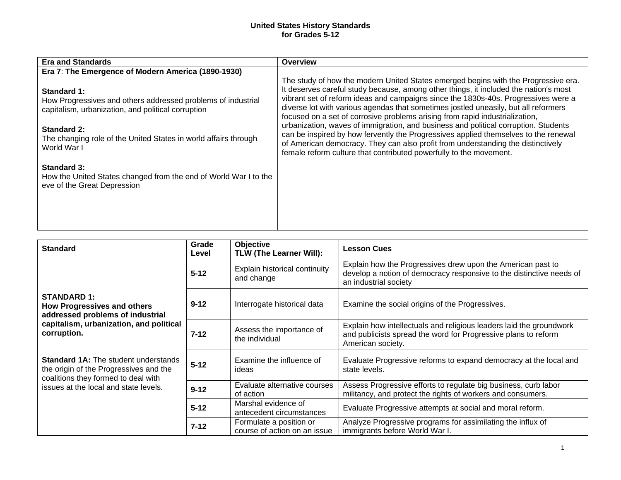## **United States History Standards for Grades 5-12**

| <b>Era and Standards</b>                                                                                                          | <b>Overview</b>                                                                                                                                                                                                                                                                                                                                                                                                                         |
|-----------------------------------------------------------------------------------------------------------------------------------|-----------------------------------------------------------------------------------------------------------------------------------------------------------------------------------------------------------------------------------------------------------------------------------------------------------------------------------------------------------------------------------------------------------------------------------------|
| Era 7: The Emergence of Modern America (1890-1930)                                                                                |                                                                                                                                                                                                                                                                                                                                                                                                                                         |
| Standard 1:<br>How Progressives and others addressed problems of industrial<br>capitalism, urbanization, and political corruption | The study of how the modern United States emerged begins with the Progressive era.<br>It deserves careful study because, among other things, it included the nation's most<br>vibrant set of reform ideas and campaigns since the 1830s-40s. Progressives were a<br>diverse lot with various agendas that sometimes jostled uneasily, but all reformers<br>focused on a set of corrosive problems arising from rapid industrialization, |
| <b>Standard 2:</b><br>The changing role of the United States in world affairs through<br>World War I                              | urbanization, waves of immigration, and business and political corruption. Students<br>can be inspired by how fervently the Progressives applied themselves to the renewal<br>of American democracy. They can also profit from understanding the distinctively<br>female reform culture that contributed powerfully to the movement.                                                                                                    |
| <b>Standard 3:</b><br>How the United States changed from the end of World War I to the<br>eve of the Great Depression             |                                                                                                                                                                                                                                                                                                                                                                                                                                         |
|                                                                                                                                   |                                                                                                                                                                                                                                                                                                                                                                                                                                         |

| <b>Standard</b>                                                                                                                                                       | Grade<br>Level | Objective<br><b>TLW (The Learner Will):</b>             | <b>Lesson Cues</b>                                                                                                                                           |
|-----------------------------------------------------------------------------------------------------------------------------------------------------------------------|----------------|---------------------------------------------------------|--------------------------------------------------------------------------------------------------------------------------------------------------------------|
|                                                                                                                                                                       | $5 - 12$       | Explain historical continuity<br>and change             | Explain how the Progressives drew upon the American past to<br>develop a notion of democracy responsive to the distinctive needs of<br>an industrial society |
| <b>STANDARD 1:</b><br><b>How Progressives and others</b><br>addressed problems of industrial<br>capitalism, urbanization, and political<br>corruption.                | $9 - 12$       | Interrogate historical data                             | Examine the social origins of the Progressives.                                                                                                              |
|                                                                                                                                                                       | $7 - 12$       | Assess the importance of<br>the individual              | Explain how intellectuals and religious leaders laid the groundwork<br>and publicists spread the word for Progressive plans to reform<br>American society.   |
| <b>Standard 1A:</b> The student understands<br>the origin of the Progressives and the<br>coalitions they formed to deal with<br>issues at the local and state levels. | $5 - 12$       | Examine the influence of<br>ideas                       | Evaluate Progressive reforms to expand democracy at the local and<br>state levels.                                                                           |
|                                                                                                                                                                       | $9 - 12$       | Evaluate alternative courses<br>of action               | Assess Progressive efforts to regulate big business, curb labor<br>militancy, and protect the rights of workers and consumers.                               |
|                                                                                                                                                                       | $5 - 12$       | Marshal evidence of<br>antecedent circumstances         | Evaluate Progressive attempts at social and moral reform.                                                                                                    |
|                                                                                                                                                                       | $7 - 12$       | Formulate a position or<br>course of action on an issue | Analyze Progressive programs for assimilating the influx of<br>immigrants before World War I.                                                                |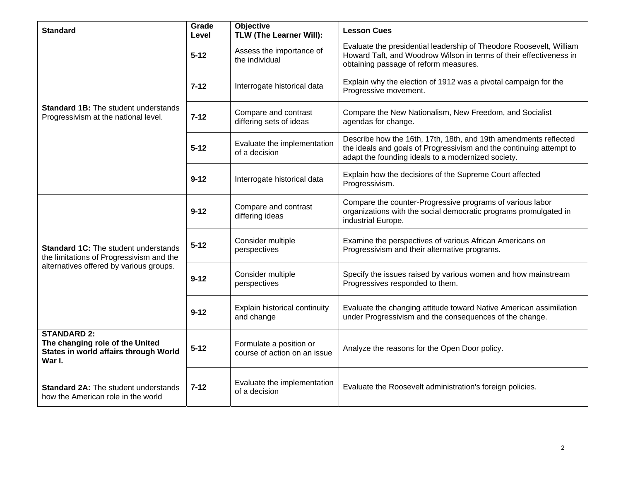| <b>Standard</b>                                                                                          | Grade<br>Level | <b>Objective</b><br>TLW (The Learner Will):             | <b>Lesson Cues</b>                                                                                                                                                                            |
|----------------------------------------------------------------------------------------------------------|----------------|---------------------------------------------------------|-----------------------------------------------------------------------------------------------------------------------------------------------------------------------------------------------|
|                                                                                                          | $5 - 12$       | Assess the importance of<br>the individual              | Evaluate the presidential leadership of Theodore Roosevelt, William<br>Howard Taft, and Woodrow Wilson in terms of their effectiveness in<br>obtaining passage of reform measures.            |
|                                                                                                          | $7 - 12$       | Interrogate historical data                             | Explain why the election of 1912 was a pivotal campaign for the<br>Progressive movement.                                                                                                      |
| <b>Standard 1B:</b> The student understands<br>Progressivism at the national level.                      | $7 - 12$       | Compare and contrast<br>differing sets of ideas         | Compare the New Nationalism, New Freedom, and Socialist<br>agendas for change.                                                                                                                |
|                                                                                                          | $5 - 12$       | Evaluate the implementation<br>of a decision            | Describe how the 16th, 17th, 18th, and 19th amendments reflected<br>the ideals and goals of Progressivism and the continuing attempt to<br>adapt the founding ideals to a modernized society. |
|                                                                                                          | $9 - 12$       | Interrogate historical data                             | Explain how the decisions of the Supreme Court affected<br>Progressivism.                                                                                                                     |
| <b>Standard 1C:</b> The student understands<br>the limitations of Progressivism and the                  | $9 - 12$       | Compare and contrast<br>differing ideas                 | Compare the counter-Progressive programs of various labor<br>organizations with the social democratic programs promulgated in<br>industrial Europe.                                           |
|                                                                                                          | $5 - 12$       | Consider multiple<br>perspectives                       | Examine the perspectives of various African Americans on<br>Progressivism and their alternative programs.                                                                                     |
| alternatives offered by various groups.                                                                  | $9 - 12$       | Consider multiple<br>perspectives                       | Specify the issues raised by various women and how mainstream<br>Progressives responded to them.                                                                                              |
|                                                                                                          | $9 - 12$       | Explain historical continuity<br>and change             | Evaluate the changing attitude toward Native American assimilation<br>under Progressivism and the consequences of the change.                                                                 |
| <b>STANDARD 2:</b><br>The changing role of the United<br>States in world affairs through World<br>War I. | $5 - 12$       | Formulate a position or<br>course of action on an issue | Analyze the reasons for the Open Door policy.                                                                                                                                                 |
| <b>Standard 2A: The student understands</b><br>how the American role in the world                        | $7 - 12$       | Evaluate the implementation<br>of a decision            | Evaluate the Roosevelt administration's foreign policies.                                                                                                                                     |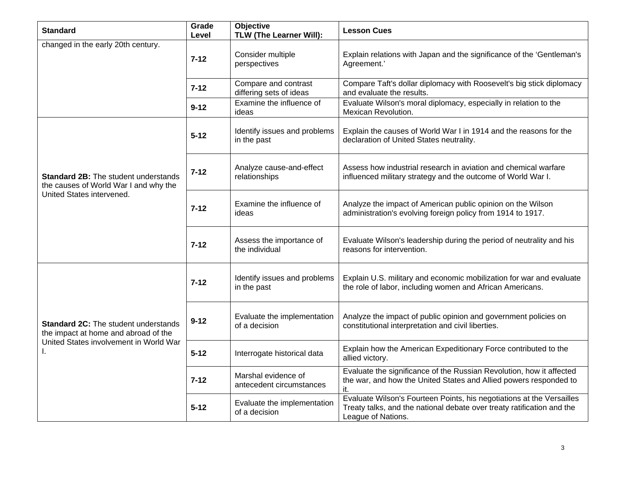| <b>Standard</b>                                                                                                               | Grade<br>Level | Objective<br><b>TLW (The Learner Will):</b>     | <b>Lesson Cues</b>                                                                                                                                                    |
|-------------------------------------------------------------------------------------------------------------------------------|----------------|-------------------------------------------------|-----------------------------------------------------------------------------------------------------------------------------------------------------------------------|
| changed in the early 20th century.                                                                                            | $7 - 12$       | Consider multiple<br>perspectives               | Explain relations with Japan and the significance of the 'Gentleman's<br>Agreement.'                                                                                  |
|                                                                                                                               | $7 - 12$       | Compare and contrast<br>differing sets of ideas | Compare Taft's dollar diplomacy with Roosevelt's big stick diplomacy<br>and evaluate the results.                                                                     |
|                                                                                                                               | $9 - 12$       | Examine the influence of<br>ideas               | Evaluate Wilson's moral diplomacy, especially in relation to the<br>Mexican Revolution.                                                                               |
| <b>Standard 2B:</b> The student understands<br>the causes of World War I and why the<br>United States intervened.             | $5 - 12$       | Identify issues and problems<br>in the past     | Explain the causes of World War I in 1914 and the reasons for the<br>declaration of United States neutrality.                                                         |
|                                                                                                                               | 7-12           | Analyze cause-and-effect<br>relationships       | Assess how industrial research in aviation and chemical warfare<br>influenced military strategy and the outcome of World War I.                                       |
|                                                                                                                               | $7 - 12$       | Examine the influence of<br>ideas               | Analyze the impact of American public opinion on the Wilson<br>administration's evolving foreign policy from 1914 to 1917.                                            |
|                                                                                                                               | $7 - 12$       | Assess the importance of<br>the individual      | Evaluate Wilson's leadership during the period of neutrality and his<br>reasons for intervention.                                                                     |
| <b>Standard 2C:</b> The student understands<br>the impact at home and abroad of the<br>United States involvement in World War | $7 - 12$       | Identify issues and problems<br>in the past     | Explain U.S. military and economic mobilization for war and evaluate<br>the role of labor, including women and African Americans.                                     |
|                                                                                                                               | $9 - 12$       | Evaluate the implementation<br>of a decision    | Analyze the impact of public opinion and government policies on<br>constitutional interpretation and civil liberties.                                                 |
|                                                                                                                               | $5 - 12$       | Interrogate historical data                     | Explain how the American Expeditionary Force contributed to the<br>allied victory.                                                                                    |
|                                                                                                                               | $7 - 12$       | Marshal evidence of<br>antecedent circumstances | Evaluate the significance of the Russian Revolution, how it affected<br>the war, and how the United States and Allied powers responded to<br>it.                      |
|                                                                                                                               | $5 - 12$       | Evaluate the implementation<br>of a decision    | Evaluate Wilson's Fourteen Points, his negotiations at the Versailles<br>Treaty talks, and the national debate over treaty ratification and the<br>League of Nations. |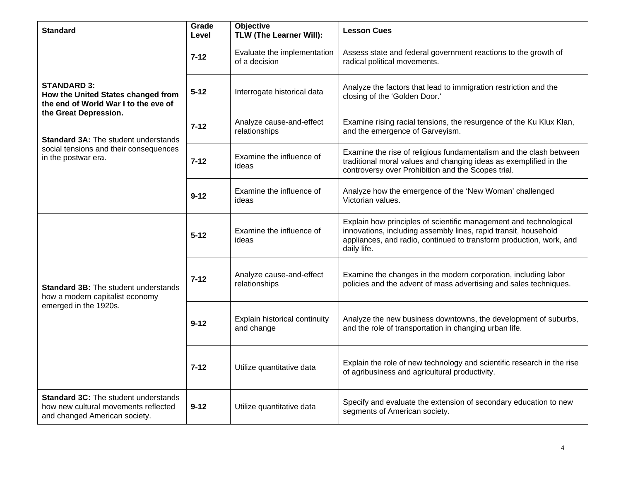| <b>Standard</b>                                                                                                                                                                                                                           | Grade<br>Level | <b>Objective</b><br>TLW (The Learner Will):  | <b>Lesson Cues</b>                                                                                                                                                                                                         |
|-------------------------------------------------------------------------------------------------------------------------------------------------------------------------------------------------------------------------------------------|----------------|----------------------------------------------|----------------------------------------------------------------------------------------------------------------------------------------------------------------------------------------------------------------------------|
|                                                                                                                                                                                                                                           | $7 - 12$       | Evaluate the implementation<br>of a decision | Assess state and federal government reactions to the growth of<br>radical political movements.                                                                                                                             |
| <b>STANDARD 3:</b><br>How the United States changed from<br>the end of World War I to the eve of<br>the Great Depression.<br><b>Standard 3A: The student understands</b><br>social tensions and their consequences<br>in the postwar era. | $5 - 12$       | Interrogate historical data                  | Analyze the factors that lead to immigration restriction and the<br>closing of the 'Golden Door.'                                                                                                                          |
|                                                                                                                                                                                                                                           | $7 - 12$       | Analyze cause-and-effect<br>relationships    | Examine rising racial tensions, the resurgence of the Ku Klux Klan,<br>and the emergence of Garveyism.                                                                                                                     |
|                                                                                                                                                                                                                                           | $7 - 12$       | Examine the influence of<br>ideas            | Examine the rise of religious fundamentalism and the clash between<br>traditional moral values and changing ideas as exemplified in the<br>controversy over Prohibition and the Scopes trial.                              |
|                                                                                                                                                                                                                                           | $9 - 12$       | Examine the influence of<br>ideas            | Analyze how the emergence of the 'New Woman' challenged<br>Victorian values.                                                                                                                                               |
| <b>Standard 3B: The student understands</b><br>how a modern capitalist economy<br>emerged in the 1920s.                                                                                                                                   | $5 - 12$       | Examine the influence of<br>ideas            | Explain how principles of scientific management and technological<br>innovations, including assembly lines, rapid transit, household<br>appliances, and radio, continued to transform production, work, and<br>daily life. |
|                                                                                                                                                                                                                                           | $7 - 12$       | Analyze cause-and-effect<br>relationships    | Examine the changes in the modern corporation, including labor<br>policies and the advent of mass advertising and sales techniques.                                                                                        |
|                                                                                                                                                                                                                                           | $9 - 12$       | Explain historical continuity<br>and change  | Analyze the new business downtowns, the development of suburbs,<br>and the role of transportation in changing urban life.                                                                                                  |
|                                                                                                                                                                                                                                           | $7 - 12$       | Utilize quantitative data                    | Explain the role of new technology and scientific research in the rise<br>of agribusiness and agricultural productivity.                                                                                                   |
| <b>Standard 3C: The student understands</b><br>how new cultural movements reflected<br>and changed American society.                                                                                                                      | $9 - 12$       | Utilize quantitative data                    | Specify and evaluate the extension of secondary education to new<br>segments of American society.                                                                                                                          |